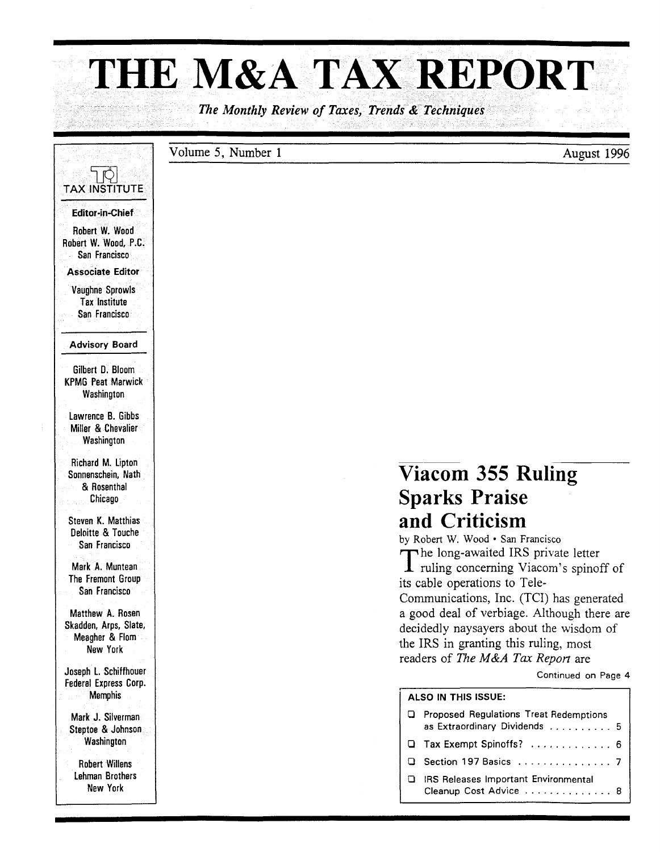# **THE M&A** TAX REPORT

*The Monthly Review of Taxes, Trends* & *Techniques* 

#### Volume 5, Number 1 August 1996

### $\Box$ TAX INSTITUTE Editor-in-Chief Robert W. Wood Robert W. Wood, P.C. San Francisco Associate Editor Vaughne Sprowls **Tax Institute** San Francisco Advisory Board Gilbert D. Bloom KPMG Peat Marwick Washington lawrence B. Gibbs Miller & Chevalier **Washington** Richard M. Lipton Sonnenschein, Nath & Rosenthal Chicago Steven K. Matthias Deloitte & Touche San Francisco Mark A. Muntean The Fremont Group San Francisco Matthew A. Rosen Skadden, Arps, Slate, Meagher & Flom New York Joseph l. Schiffhouer Federal Express Corp. **Memphis** Mark J. Silverman Steptoe & Johnson **Washington** Robert Willens lehman Brothers New York

## **Viacom 355 Ruling Sparks Praise and Criticism**

by Robert W. Wood· San Francisco The long-awaited IRS private letter<br>
T ruling concerning Viacom's spinoff of its cable operations to Tele-Communications, Inc. (TCI) has generated a good deal of verbiage. Although there are decidedly naysayers about the wisdom of the IRS in granting this ruling, most readers of *The M&A Tax Repon* are

Continued on Page 4

#### ALSO IN THIS ISSUE:

- o Proposed Regulations Treat Redemptions as Extraordinary Dividends .......... 5
- o Tax Exempt Spinoffs? ............. 6
- o Section 197 Basics ............... 7
- o IRS Releases Important Environmental Cleanup Cost Advice . . . . . . . . . . . . . 8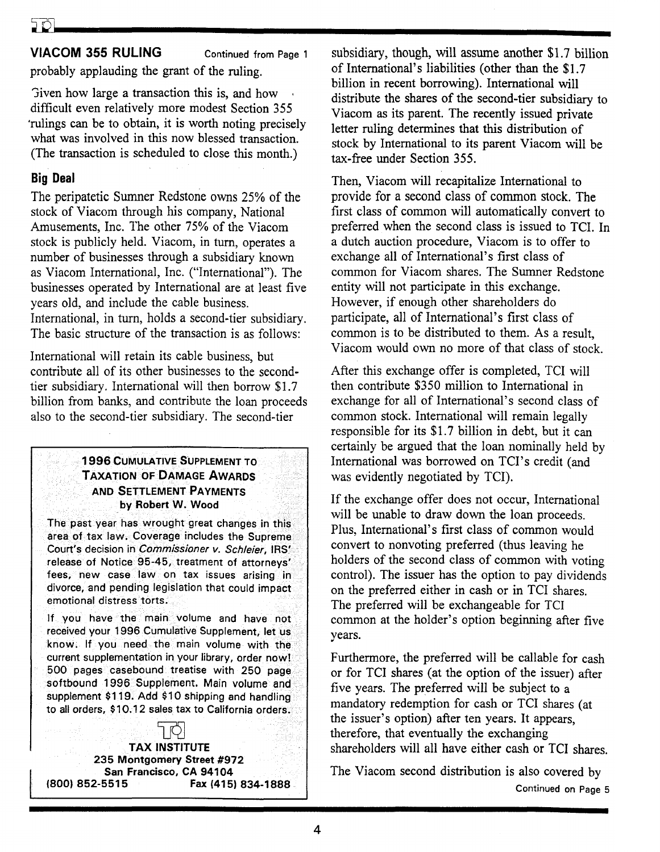#### VIACOM 355 RULING Continued from Page 1

probably applauding the grant of the ruling.

'Jiven how large a transaction this is, and how difficult even relatively more modest Section 355 'rulings can be to obtain, it is worth noting precisely what was involved in this now blessed transaction. (The transaction is scheduled to close this month.)

#### Big Deal

The peripatetic Sumner Redstone owns 25% of the stock of Viacom through his company, National Amusements, Inc. The other 75% of the Viacom stock is publicly held. Viacom, in turn, operates a number of businesses through a subsidiary known as Viacom International, Inc. ("International"). The businesses operated by International are at least five years old, and include the cable business. International, in turn, holds a second-tier subsidiary. The basic structure of the transaction is as follows:

International will retain its cable business, but contribute all of its other businesses to the secondtier subsidiary. International will then borrow \$1.7 billion from banks, and contribute the loan proceeds also to the second-tier subsidiary. The second-tier

#### 1996 CUMULATIVE SUPPLEMENT TO TAXATION OF DAMAGE AWARDS AND SETTLEMENT PAYMENTS . by Robert W. Wood

The past year has wrought great changes in this area of tax law. Coverage includes the Supreme Court's decision in *Commissioner v. Schleier,* IRS' release of Notice 95-45, treatment of attorneys' fees, new case law on tax issues arising in divorce, and pending legislation that could impact emotional distress torts.

If you have the main volume and have not received your 1996 Cumulative Supplement, let us know. If you need the main volume with the current supplementation in your library, order now! 500 pages casebound treatise with 250 page softbound 1996 Supplement. Main volume and supplement \$119. Add \$10 shipping and handling to all orders, \$10.12 sales tax to California orders.

#### TAX INSTITUTE 235 Montgomery Street #972 San Francisco, CA 94104 (800) 852-5515 Fax (415) 834-1888

subsidiary, though, will assume another \$1.7 billion of International's liabilities (other than the \$1.7 billion in recent borrowing). International will distribute the shares of the second-tier subsidiary to Viacom as its parent. The recently issued private letter ruling determines that this distribution of stock by International to its parent Viacom will be tax-free under Section 355.

Then, Viacom will recapitalize International to provide for a second class of common stock. The first class of common will automatically convert to preferred when the second class is issued to TCI. In a dutch auction procedure, Viacom is to offer to exchange all of International's first class of common for Viacom shares. The Sumner Redstone entity will not participate in this exchange. However, if enough other shareholders do participate, all of International's first class of common is to be distributed to them. As a result, Viacom would own no more of that class of stock.

After this exchange offer is completed, TCI will then contribute \$350 million to International in exchange for all of International's second class of common stock. International will remain legally responsible for its \$1.7 billion in debt, but it can certainly be argued that the loan nominally held by International was borrowed on TCI's credit (and was evidently negotiated by TCI).

If the exchange offer does not occur, International will be unable to draw down the loan proceeds. Plus, International's first class of common would convert to nonvoting preferred (thus leaving he holders of the second class of common with voting control). The issuer has the option to pay dividends on the preferred either in cash or in TCI shares. The preferred will be exchangeable for TCI common at the holder's option beginning after five years.

Furthermore, the preferred will be callable for cash or for TCI shares (at the option of the issuer) after five years. The preferred will be subject to a mandatory redemption for cash or TCI shares (at the issuer's option) after ten years. It appears, therefore, that eventually the exchanging shareholders will all have either cash or TCI shares.

The Viacom second distribution is also covered by Continued on Page 5